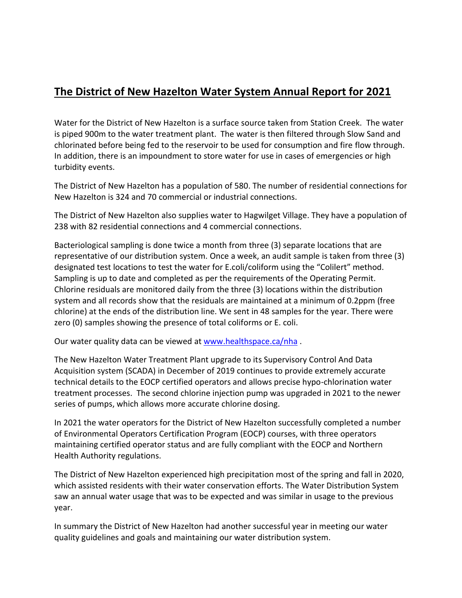## **The District of New Hazelton Water System Annual Report for 2021**

Water for the District of New Hazelton is a surface source taken from Station Creek. The water is piped 900m to the water treatment plant. The water is then filtered through Slow Sand and chlorinated before being fed to the reservoir to be used for consumption and fire flow through. In addition, there is an impoundment to store water for use in cases of emergencies or high turbidity events.

The District of New Hazelton has a population of 580. The number of residential connections for New Hazelton is 324 and 70 commercial or industrial connections.

The District of New Hazelton also supplies water to Hagwilget Village. They have a population of 238 with 82 residential connections and 4 commercial connections.

Bacteriological sampling is done twice a month from three (3) separate locations that are representative of our distribution system. Once a week, an audit sample is taken from three (3) designated test locations to test the water for E.coli/coliform using the "Colilert" method. Sampling is up to date and completed as per the requirements of the Operating Permit. Chlorine residuals are monitored daily from the three (3) locations within the distribution system and all records show that the residuals are maintained at a minimum of 0.2ppm (free chlorine) at the ends of the distribution line. We sent in 48 samples for the year. There were zero (0) samples showing the presence of total coliforms or E. coli.

Our water quality data can be viewed at [www.healthspace.ca/nha](http://www.healthspace.ca/nha).

The New Hazelton Water Treatment Plant upgrade to its Supervisory Control And Data Acquisition system (SCADA) in December of 2019 continues to provide extremely accurate technical details to the EOCP certified operators and allows precise hypo-chlorination water treatment processes. The second chlorine injection pump was upgraded in 2021 to the newer series of pumps, which allows more accurate chlorine dosing.

In 2021 the water operators for the District of New Hazelton successfully completed a number of Environmental Operators Certification Program (EOCP) courses, with three operators maintaining certified operator status and are fully compliant with the EOCP and Northern Health Authority regulations.

The District of New Hazelton experienced high precipitation most of the spring and fall in 2020, which assisted residents with their water conservation efforts. The Water Distribution System saw an annual water usage that was to be expected and was similar in usage to the previous year.

In summary the District of New Hazelton had another successful year in meeting our water quality guidelines and goals and maintaining our water distribution system.